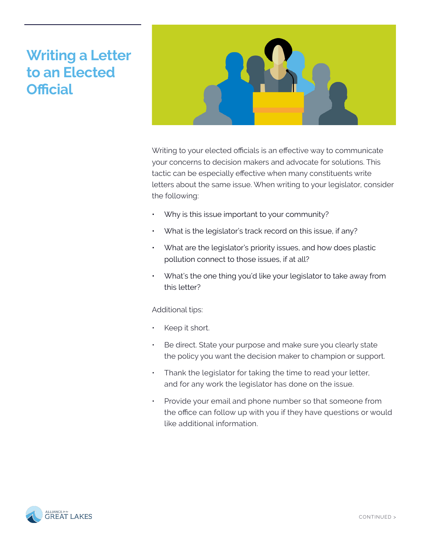## **Writing a Letter to an Elected Official**



Writing to your elected officials is an effective way to communicate your concerns to decision makers and advocate for solutions. This tactic can be especially effective when many constituents write letters about the same issue. When writing to your legislator, consider the following:

- Why is this issue important to your community?
- What is the legislator's track record on this issue, if any?
- What are the legislator's priority issues, and how does plastic pollution connect to those issues, if at all?
- What's the one thing you'd like your legislator to take away from this letter?

Additional tips:

- Keep it short.
- Be direct. State your purpose and make sure you clearly state the policy you want the decision maker to champion or support.
- Thank the legislator for taking the time to read your letter, and for any work the legislator has done on the issue.
- Provide your email and phone number so that someone from the office can follow up with you if they have questions or would like additional information.